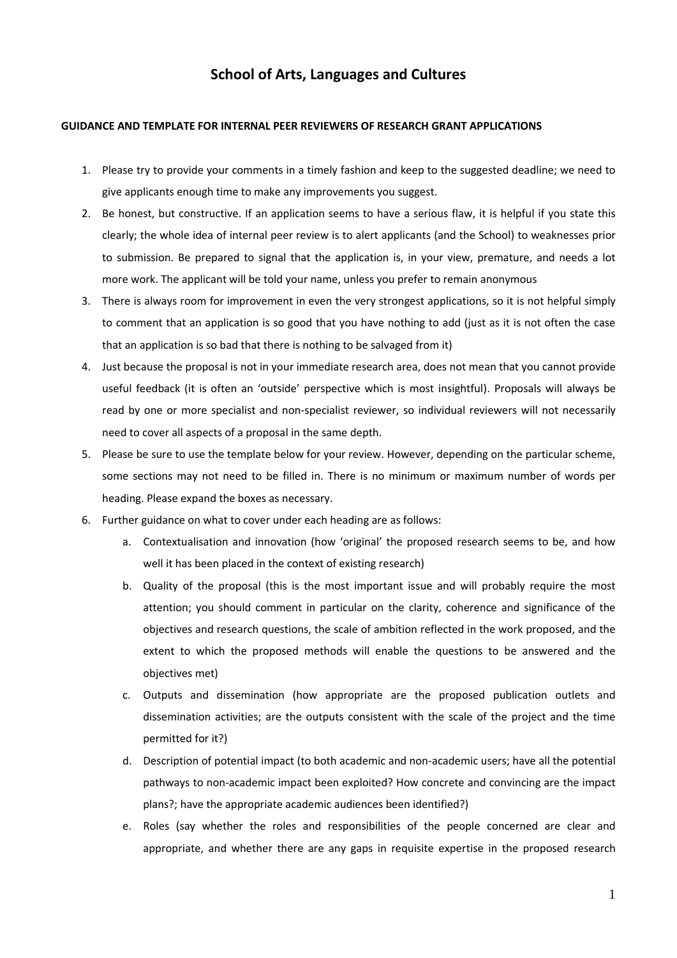## **School of Arts, Languages and Cultures**

#### **GUIDANCE AND TEMPLATE FOR INTERNAL PEER REVIEWERS OF RESEARCH GRANT APPLICATIONS**

- 1. Please try to provide your comments in a timely fashion and keep to the suggested deadline; we need to give applicants enough time to make any improvements you suggest.
- 2. Be honest, but constructive. If an application seems to have a serious flaw, it is helpful if you state this clearly; the whole idea of internal peer review is to alert applicants (and the School) to weaknesses prior to submission. Be prepared to signal that the application is, in your view, premature, and needs a lot more work. The applicant will be told your name, unless you prefer to remain anonymous
- 3. There is always room for improvement in even the very strongest applications, so it is not helpful simply to comment that an application is so good that you have nothing to add (just as it is not often the case that an application is so bad that there is nothing to be salvaged from it)
- 4. Just because the proposal is not in your immediate research area, does not mean that you cannot provide useful feedback (it is often an 'outside' perspective which is most insightful). Proposals will always be read by one or more specialist and non-specialist reviewer, so individual reviewers will not necessarily need to cover all aspects of a proposal in the same depth.
- 5. Please be sure to use the template below for your review. However, depending on the particular scheme, some sections may not need to be filled in. There is no minimum or maximum number of words per heading. Please expand the boxes as necessary.
- 6. Further guidance on what to cover under each heading are as follows:
	- a. Contextualisation and innovation (how 'original' the proposed research seems to be, and how well it has been placed in the context of existing research)
	- b. Quality of the proposal (this is the most important issue and will probably require the most attention; you should comment in particular on the clarity, coherence and significance of the objectives and research questions, the scale of ambition reflected in the work proposed, and the extent to which the proposed methods will enable the questions to be answered and the objectives met)
	- c. Outputs and dissemination (how appropriate are the proposed publication outlets and dissemination activities; are the outputs consistent with the scale of the project and the time permitted for it?)
	- d. Description of potential impact (to both academic and non-academic users; have all the potential pathways to non-academic impact been exploited? How concrete and convincing are the impact plans?; have the appropriate academic audiences been identified?)
	- e. Roles (say whether the roles and responsibilities of the people concerned are clear and appropriate, and whether there are any gaps in requisite expertise in the proposed research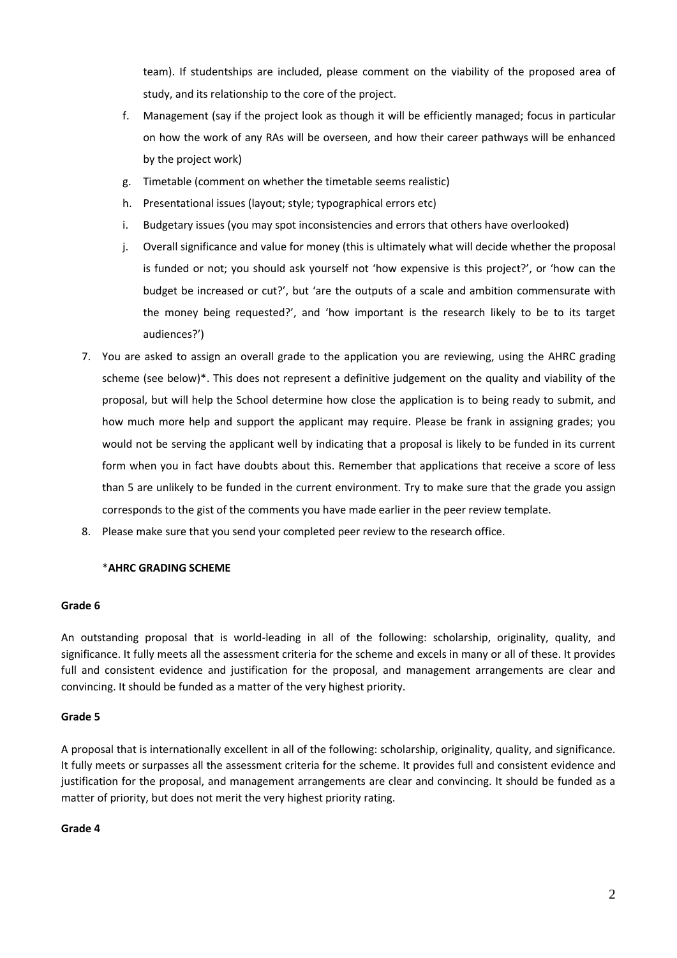team). If studentships are included, please comment on the viability of the proposed area of study, and its relationship to the core of the project.

- f. Management (say if the project look as though it will be efficiently managed; focus in particular on how the work of any RAs will be overseen, and how their career pathways will be enhanced by the project work)
- g. Timetable (comment on whether the timetable seems realistic)
- h. Presentational issues (layout; style; typographical errors etc)
- i. Budgetary issues (you may spot inconsistencies and errors that others have overlooked)
- j. Overall significance and value for money (this is ultimately what will decide whether the proposal is funded or not; you should ask yourself not 'how expensive is this project?', or 'how can the budget be increased or cut?', but 'are the outputs of a scale and ambition commensurate with the money being requested?', and 'how important is the research likely to be to its target audiences?')
- 7. You are asked to assign an overall grade to the application you are reviewing, using the AHRC grading scheme (see below)\*. This does not represent a definitive judgement on the quality and viability of the proposal, but will help the School determine how close the application is to being ready to submit, and how much more help and support the applicant may require. Please be frank in assigning grades; you would not be serving the applicant well by indicating that a proposal is likely to be funded in its current form when you in fact have doubts about this. Remember that applications that receive a score of less than 5 are unlikely to be funded in the current environment. Try to make sure that the grade you assign corresponds to the gist of the comments you have made earlier in the peer review template.
- 8. Please make sure that you send your completed peer review to the research office.

#### \***AHRC GRADING SCHEME**

#### **Grade 6**

An outstanding proposal that is world-leading in all of the following: scholarship, originality, quality, and significance. It fully meets all the assessment criteria for the scheme and excels in many or all of these. It provides full and consistent evidence and justification for the proposal, and management arrangements are clear and convincing. It should be funded as a matter of the very highest priority.

#### **Grade 5**

A proposal that is internationally excellent in all of the following: scholarship, originality, quality, and significance. It fully meets or surpasses all the assessment criteria for the scheme. It provides full and consistent evidence and justification for the proposal, and management arrangements are clear and convincing. It should be funded as a matter of priority, but does not merit the very highest priority rating.

#### **Grade 4**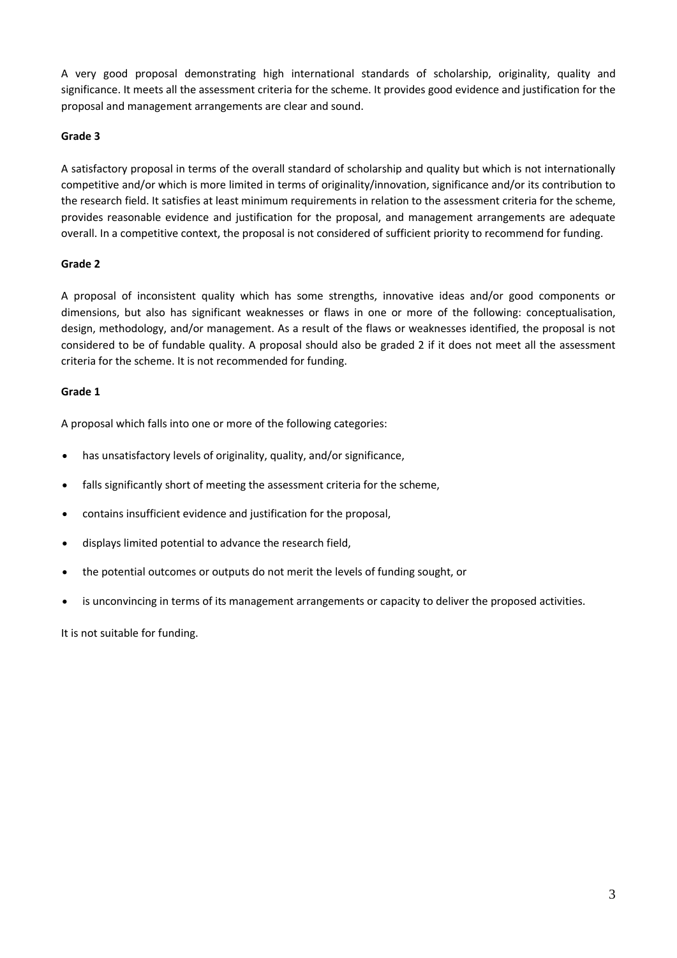A very good proposal demonstrating high international standards of scholarship, originality, quality and significance. It meets all the assessment criteria for the scheme. It provides good evidence and justification for the proposal and management arrangements are clear and sound.

#### **Grade 3**

A satisfactory proposal in terms of the overall standard of scholarship and quality but which is not internationally competitive and/or which is more limited in terms of originality/innovation, significance and/or its contribution to the research field. It satisfies at least minimum requirements in relation to the assessment criteria for the scheme, provides reasonable evidence and justification for the proposal, and management arrangements are adequate overall. In a competitive context, the proposal is not considered of sufficient priority to recommend for funding.

### **Grade 2**

A proposal of inconsistent quality which has some strengths, innovative ideas and/or good components or dimensions, but also has significant weaknesses or flaws in one or more of the following: conceptualisation, design, methodology, and/or management. As a result of the flaws or weaknesses identified, the proposal is not considered to be of fundable quality. A proposal should also be graded 2 if it does not meet all the assessment criteria for the scheme. It is not recommended for funding.

### **Grade 1**

A proposal which falls into one or more of the following categories:

- has unsatisfactory levels of originality, quality, and/or significance,
- falls significantly short of meeting the assessment criteria for the scheme,
- contains insufficient evidence and justification for the proposal,
- displays limited potential to advance the research field,
- the potential outcomes or outputs do not merit the levels of funding sought, or
- is unconvincing in terms of its management arrangements or capacity to deliver the proposed activities.

It is not suitable for funding.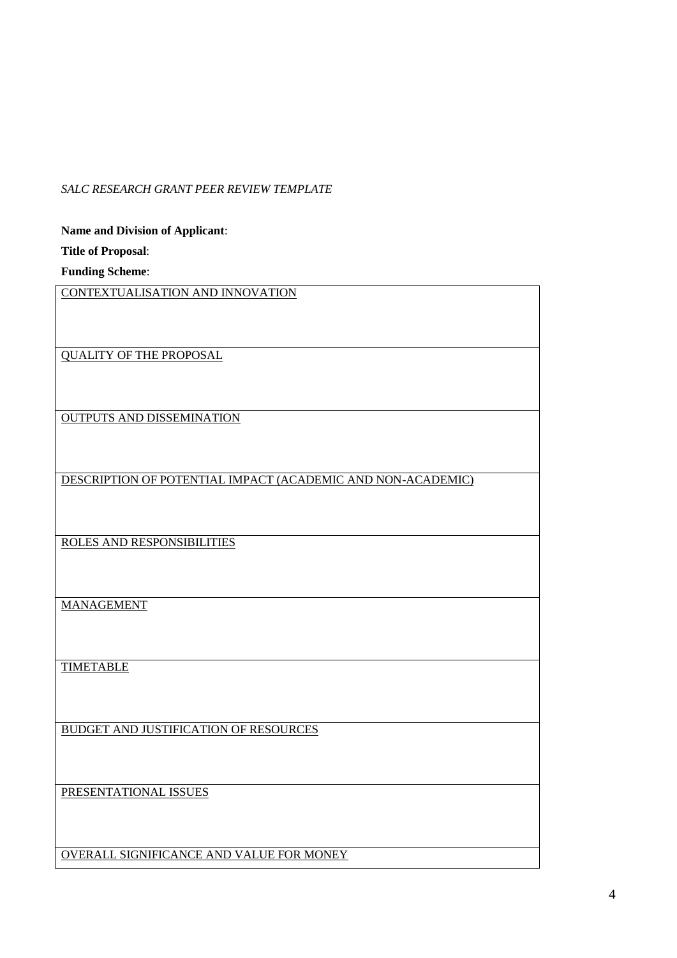## *SALC RESEARCH GRANT PEER REVIEW TEMPLATE*

**Name and Division of Applicant**: **Title of Proposal**: **Funding Scheme**: CONTEXTUALISATION AND INNOVATION QUALITY OF THE PROPOSAL OUTPUTS AND DISSEMINATION DESCRIPTION OF POTENTIAL IMPACT (ACADEMIC AND NON-ACADEMIC) ROLES AND RESPONSIBILITIES MANAGEMENT TIMETABLE BUDGET AND JUSTIFICATION OF RESOURCES PRESENTATIONAL ISSUES OVERALL SIGNIFICANCE AND VALUE FOR MONEY